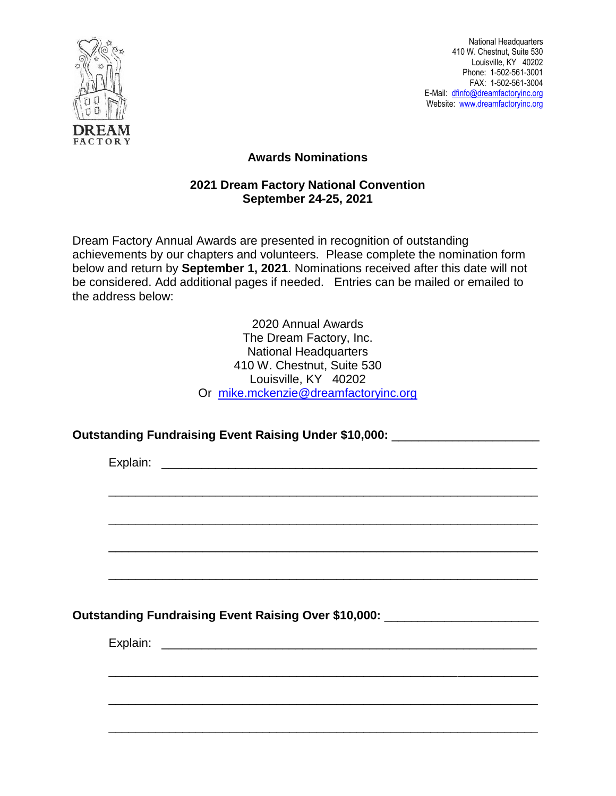

National Headquarters 410 W. Chestnut, Suite 530 Louisville, KY 40202 Phone: 1-502-561-3001 FAX: 1-502-561-3004 E-Mail: [dfinfo@dreamfactoryinc.org](mailto:dfinfo@dreamfactoryinc.org) Website: [www.dreamfactoryinc.org](http://www.dreamfactoryinc.org/)

## **Awards Nominations**

## **2021 Dream Factory National Convention September 24-25, 2021**

Dream Factory Annual Awards are presented in recognition of outstanding achievements by our chapters and volunteers. Please complete the nomination form below and return by **September 1, 2021**. Nominations received after this date will not be considered. Add additional pages if needed. Entries can be mailed or emailed to the address below:

> 2020 Annual Awards The Dream Factory, Inc. National Headquarters 410 W. Chestnut, Suite 530 Louisville, KY 40202 Or [mike.mckenzie@dreamfactoryinc.org](mailto:mike.mckenzie@dreamfactoryinc.org)

## **Outstanding Fundraising Event Raising Under \$10,000:** \_\_\_\_\_\_\_\_\_\_\_\_\_\_\_\_\_\_\_\_\_\_

Explain: **Explain: Explain: Explain: Explain: Explain: Explain: Explain: Explain: Explain: Explain: Explain: Explain: Explain: Explain: Explain: Explain: Explain: Explain: Explain: Exp** \_\_\_\_\_\_\_\_\_\_\_\_\_\_\_\_\_\_\_\_\_\_\_\_\_\_\_\_\_\_\_\_\_\_\_\_\_\_\_\_\_\_\_\_\_\_\_\_\_\_\_\_\_\_\_\_\_\_\_\_\_\_\_\_ \_\_\_\_\_\_\_\_\_\_\_\_\_\_\_\_\_\_\_\_\_\_\_\_\_\_\_\_\_\_\_\_\_\_\_\_\_\_\_\_\_\_\_\_\_\_\_\_\_\_\_\_\_\_\_\_\_\_\_\_\_\_\_\_ \_\_\_\_\_\_\_\_\_\_\_\_\_\_\_\_\_\_\_\_\_\_\_\_\_\_\_\_\_\_\_\_\_\_\_\_\_\_\_\_\_\_\_\_\_\_\_\_\_\_\_\_\_\_\_\_\_\_\_\_\_\_\_\_ \_\_\_\_\_\_\_\_\_\_\_\_\_\_\_\_\_\_\_\_\_\_\_\_\_\_\_\_\_\_\_\_\_\_\_\_\_\_\_\_\_\_\_\_\_\_\_\_\_\_\_\_\_\_\_\_\_\_\_\_\_\_\_\_ **Outstanding Fundraising Event Raising Over \$10,000:** \_\_\_\_\_\_\_\_\_\_\_\_\_\_\_\_\_\_\_\_\_\_\_ Explain: \_\_\_\_\_\_\_\_\_\_\_\_\_\_\_\_\_\_\_\_\_\_\_\_\_\_\_\_\_\_\_\_\_\_\_\_\_\_\_\_\_\_\_\_\_\_\_\_\_\_\_\_\_\_\_\_ \_\_\_\_\_\_\_\_\_\_\_\_\_\_\_\_\_\_\_\_\_\_\_\_\_\_\_\_\_\_\_\_\_\_\_\_\_\_\_\_\_\_\_\_\_\_\_\_\_\_\_\_\_\_\_\_\_\_\_\_\_\_\_\_ \_\_\_\_\_\_\_\_\_\_\_\_\_\_\_\_\_\_\_\_\_\_\_\_\_\_\_\_\_\_\_\_\_\_\_\_\_\_\_\_\_\_\_\_\_\_\_\_\_\_\_\_\_\_\_\_\_\_\_\_\_\_\_\_

\_\_\_\_\_\_\_\_\_\_\_\_\_\_\_\_\_\_\_\_\_\_\_\_\_\_\_\_\_\_\_\_\_\_\_\_\_\_\_\_\_\_\_\_\_\_\_\_\_\_\_\_\_\_\_\_\_\_\_\_\_\_\_\_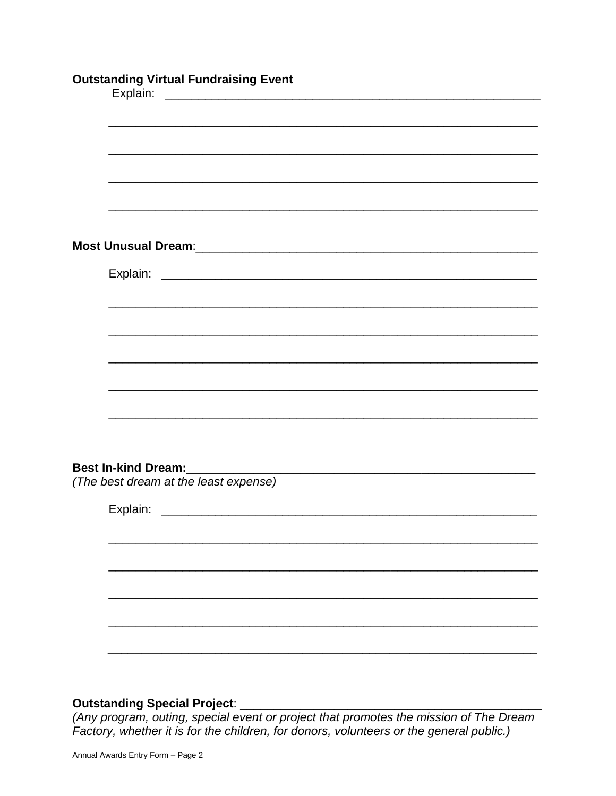|                            | <b>Outstanding Virtual Fundraising Event</b>                                                                         |
|----------------------------|----------------------------------------------------------------------------------------------------------------------|
|                            |                                                                                                                      |
|                            |                                                                                                                      |
|                            |                                                                                                                      |
|                            |                                                                                                                      |
|                            |                                                                                                                      |
|                            |                                                                                                                      |
|                            |                                                                                                                      |
|                            |                                                                                                                      |
|                            |                                                                                                                      |
|                            |                                                                                                                      |
|                            |                                                                                                                      |
|                            |                                                                                                                      |
|                            |                                                                                                                      |
|                            |                                                                                                                      |
| <b>Best In-kind Dream:</b> | <u> 2000 - Jan James James James James James James James James James James James James James James James James J</u> |
|                            | (The best dream at the least expense)                                                                                |
|                            |                                                                                                                      |
|                            |                                                                                                                      |
|                            |                                                                                                                      |
|                            |                                                                                                                      |
|                            |                                                                                                                      |
|                            |                                                                                                                      |
|                            |                                                                                                                      |
|                            |                                                                                                                      |

Factory, whether it is for the children, for donors, volunteers or the general public.)